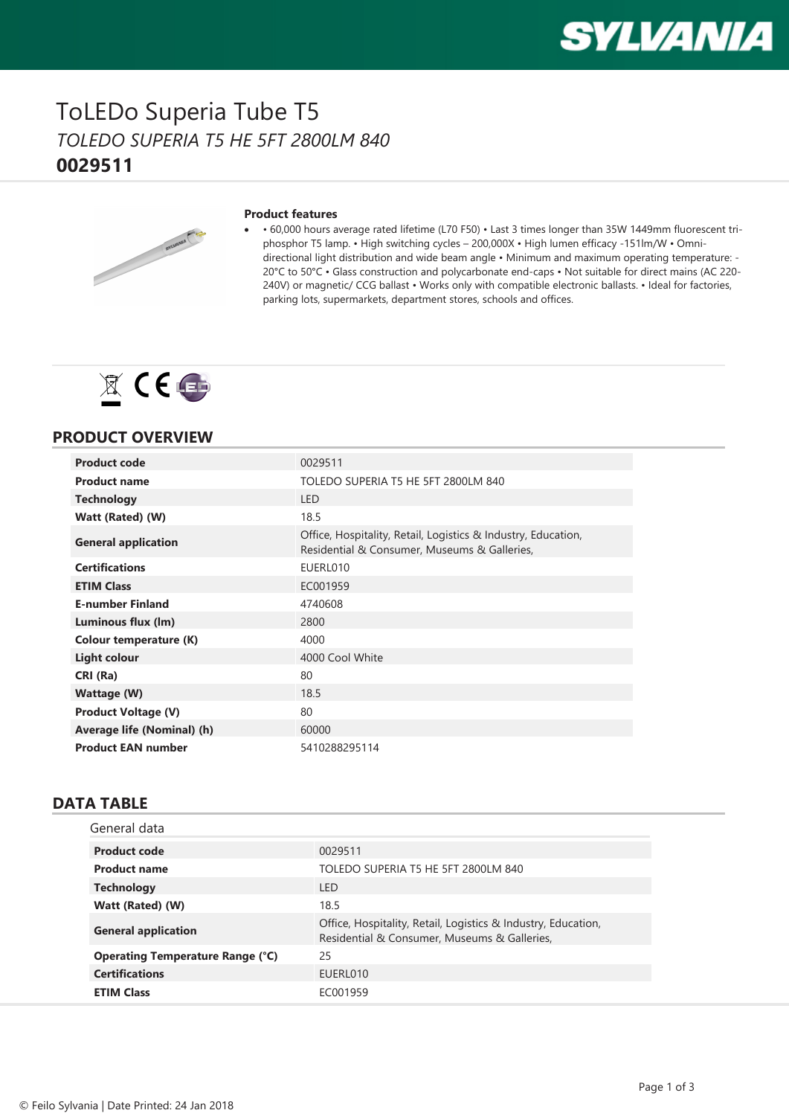

### ToLEDo Superia Tube T5 *TOLEDO SUPERIA T5 HE 5FT 2800LM 840* **0029511**



#### **Product features**

· • 60,000 hours average rated lifetime (L70 F50) • Last 3 times longer than 35W 1449mm fluorescent triphosphor T5 lamp. • High switching cycles – 200,000X • High lumen efficacy -151lm/W • Omnidirectional light distribution and wide beam angle • Minimum and maximum operating temperature: - 20°C to 50°C • Glass construction and polycarbonate end-caps • Not suitable for direct mains (AC 220- 240V) or magnetic/ CCG ballast • Works only with compatible electronic ballasts. • Ideal for factories, parking lots, supermarkets, department stores, schools and offices.



### **PRODUCT OVERVIEW**

| <b>Product code</b>           | 0029511                                                                                                       |
|-------------------------------|---------------------------------------------------------------------------------------------------------------|
| <b>Product name</b>           | TOLEDO SUPERIA T5 HE 5FT 2800LM 840                                                                           |
| <b>Technology</b>             | <b>LED</b>                                                                                                    |
| Watt (Rated) (W)              | 18.5                                                                                                          |
| <b>General application</b>    | Office, Hospitality, Retail, Logistics & Industry, Education,<br>Residential & Consumer, Museums & Galleries, |
| <b>Certifications</b>         | EUERL010                                                                                                      |
| <b>ETIM Class</b>             | EC001959                                                                                                      |
| <b>E-number Finland</b>       | 4740608                                                                                                       |
| Luminous flux (lm)            | 2800                                                                                                          |
| <b>Colour temperature (K)</b> | 4000                                                                                                          |
| <b>Light colour</b>           | 4000 Cool White                                                                                               |
| CRI (Ra)                      | 80                                                                                                            |
| Wattage (W)                   | 18.5                                                                                                          |
| <b>Product Voltage (V)</b>    | 80                                                                                                            |
| Average life (Nominal) (h)    | 60000                                                                                                         |
| <b>Product EAN number</b>     | 5410288295114                                                                                                 |

### **DATA TABLE**

| General data                            |                                                                                                               |
|-----------------------------------------|---------------------------------------------------------------------------------------------------------------|
| <b>Product code</b>                     | 0029511                                                                                                       |
| <b>Product name</b>                     | TOLEDO SUPERIA T5 HE 5FT 2800LM 840                                                                           |
| <b>Technology</b>                       | I FD.                                                                                                         |
| Watt (Rated) (W)                        | 18.5                                                                                                          |
| <b>General application</b>              | Office, Hospitality, Retail, Logistics & Industry, Education,<br>Residential & Consumer, Museums & Galleries, |
| <b>Operating Temperature Range (°C)</b> | 25                                                                                                            |
| <b>Certifications</b>                   | EUERL010                                                                                                      |
| <b>ETIM Class</b>                       | EC001959                                                                                                      |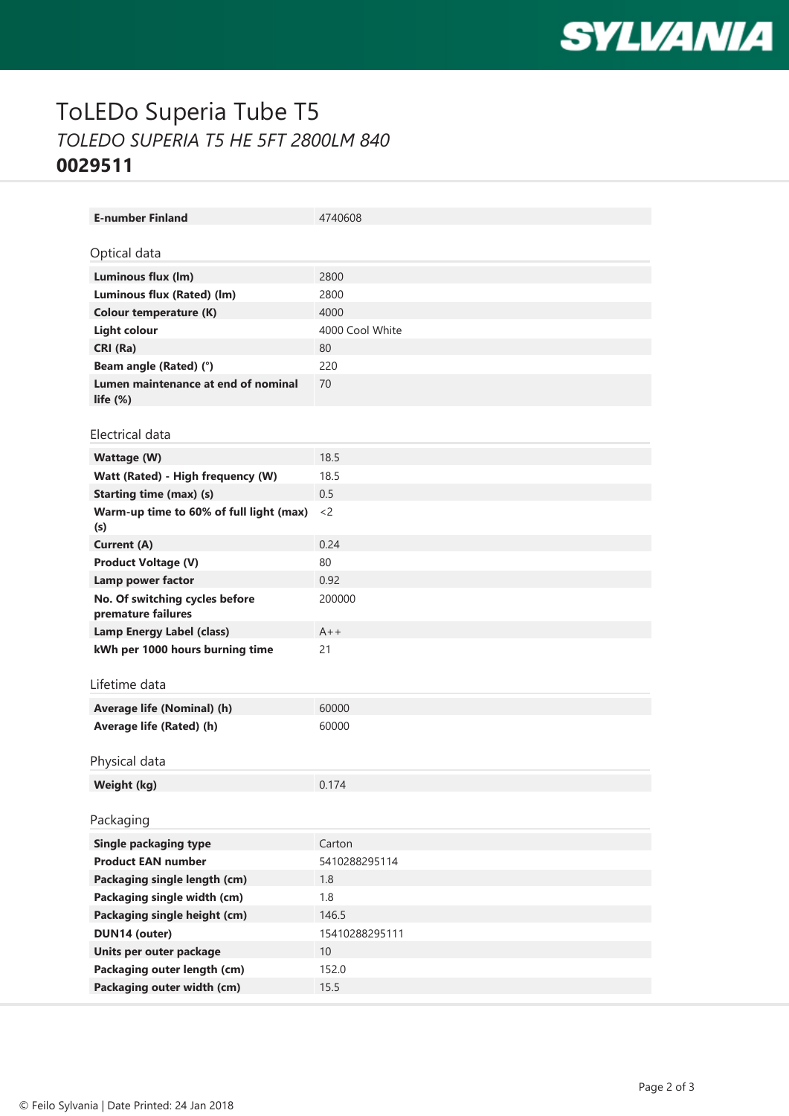

# ToLEDo Superia Tube T5 *TOLEDO SUPERIA T5 HE 5FT 2800LM 840* **0029511**

| <b>E-number Finland</b>                              | 4740608         |
|------------------------------------------------------|-----------------|
| Optical data                                         |                 |
|                                                      |                 |
| Luminous flux (lm)                                   | 2800            |
| Luminous flux (Rated) (lm)                           | 2800            |
| Colour temperature (K)                               | 4000            |
| <b>Light colour</b>                                  | 4000 Cool White |
| CRI (Ra)                                             | 80              |
| Beam angle (Rated) (°)                               | 220             |
| Lumen maintenance at end of nominal<br>life $(\%)$   | 70              |
| Electrical data                                      |                 |
|                                                      |                 |
| <b>Wattage (W)</b>                                   | 18.5            |
| Watt (Rated) - High frequency (W)                    | 18.5            |
| <b>Starting time (max) (s)</b>                       | 0.5             |
| Warm-up time to 60% of full light (max)<br>(s)       | $<$ 2           |
| <b>Current (A)</b>                                   | 0.24            |
| <b>Product Voltage (V)</b>                           | 80              |
| Lamp power factor                                    | 0.92            |
| No. Of switching cycles before<br>premature failures | 200000          |
| <b>Lamp Energy Label (class)</b>                     | $A++$           |
| kWh per 1000 hours burning time                      | 21              |
|                                                      |                 |
| Lifetime data                                        |                 |
| Average life (Nominal) (h)                           | 60000           |
| Average life (Rated) (h)                             | 60000           |
|                                                      |                 |
| Physical data                                        |                 |
| Weight (kg)                                          | 0.174           |
|                                                      |                 |
| Packaging                                            |                 |
| <b>Single packaging type</b>                         | Carton          |
| <b>Product EAN number</b>                            | 5410288295114   |
| Packaging single length (cm)                         | 1.8             |
| Packaging single width (cm)                          | 1.8             |
| Packaging single height (cm)                         | 146.5           |
| DUN14 (outer)                                        | 15410288295111  |
| Units per outer package                              | 10              |
| Packaging outer length (cm)                          | 152.0           |
| Packaging outer width (cm)                           | 15.5            |